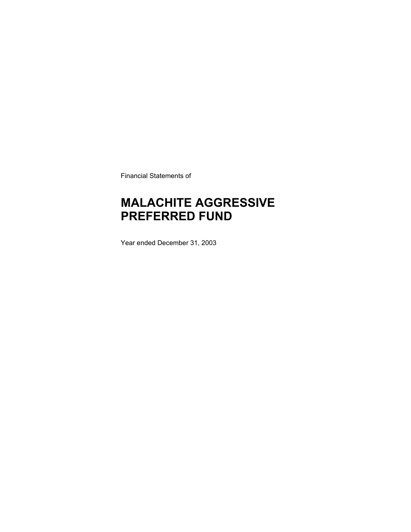Financial Statements of

### **MALACHITE AGGRESSIVE PREFERRED FUND**

Year ended December 31, 2003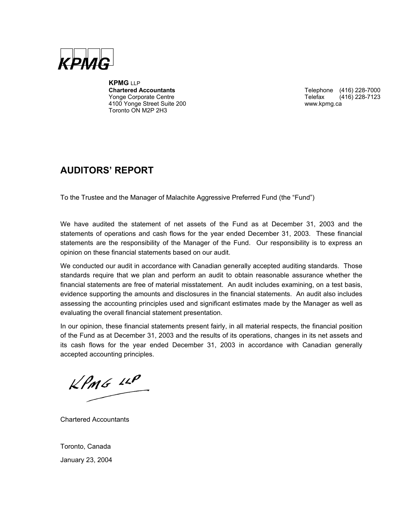

**KPMG** LLP **Chartered Accountants** Telephone (416) 228-7000 Yonge Corporate Centre Telefax (416) 228-7123 4100 Yonge Street Suite 200 www.kpmg.ca Toronto ON M2P 2H3

### **AUDITORS' REPORT**

To the Trustee and the Manager of Malachite Aggressive Preferred Fund (the "Fund")

We have audited the statement of net assets of the Fund as at December 31, 2003 and the statements of operations and cash flows for the year ended December 31, 2003. These financial statements are the responsibility of the Manager of the Fund. Our responsibility is to express an opinion on these financial statements based on our audit.

We conducted our audit in accordance with Canadian generally accepted auditing standards. Those standards require that we plan and perform an audit to obtain reasonable assurance whether the financial statements are free of material misstatement. An audit includes examining, on a test basis, evidence supporting the amounts and disclosures in the financial statements. An audit also includes assessing the accounting principles used and significant estimates made by the Manager as well as evaluating the overall financial statement presentation.

In our opinion, these financial statements present fairly, in all material respects, the financial position of the Fund as at December 31, 2003 and the results of its operations, changes in its net assets and its cash flows for the year ended December 31, 2003 in accordance with Canadian generally accepted accounting principles.

 $KPMG$  11P

Chartered Accountants

Toronto, Canada January 23, 2004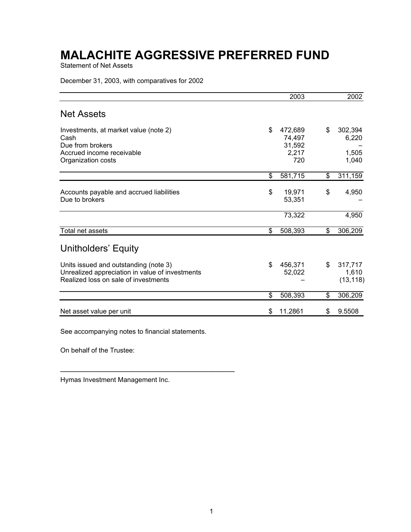Statement of Net Assets

December 31, 2003, with comparatives for 2002

|                                                 | 2003             |    | 2002      |
|-------------------------------------------------|------------------|----|-----------|
| <b>Net Assets</b>                               |                  |    |           |
| Investments, at market value (note 2)           | \$<br>472,689    | \$ | 302,394   |
| Cash<br>Due from brokers                        | 74,497<br>31,592 |    | 6,220     |
| Accrued income receivable                       | 2,217            |    | 1,505     |
| Organization costs                              | 720              |    | 1,040     |
|                                                 | \$<br>581,715    | \$ | 311,159   |
| Accounts payable and accrued liabilities        | \$<br>19,971     | \$ | 4,950     |
| Due to brokers                                  | 53,351           |    |           |
|                                                 | 73,322           |    | 4,950     |
| Total net assets                                | \$<br>508,393    | \$ | 306,209   |
| Unitholders' Equity                             |                  |    |           |
| Units issued and outstanding (note 3)           | \$<br>456.371    | \$ | 317.717   |
| Unrealized appreciation in value of investments | 52,022           |    | 1,610     |
| Realized loss on sale of investments            |                  |    | (13, 118) |
|                                                 | \$<br>508,393    | \$ | 306,209   |
| Net asset value per unit                        | \$<br>11.2861    | S  | 9.5508    |

See accompanying notes to financial statements.

 $\mathcal{L}_\text{max}$  and  $\mathcal{L}_\text{max}$  and  $\mathcal{L}_\text{max}$  and  $\mathcal{L}_\text{max}$ 

On behalf of the Trustee:

Hymas Investment Management Inc.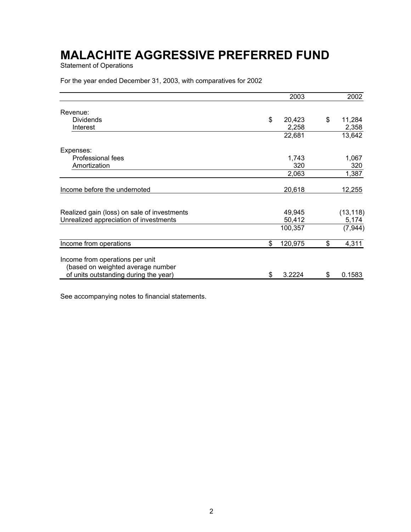Statement of Operations

For the year ended December 31, 2003, with comparatives for 2002

|                                                                      | 2003          | 2002         |
|----------------------------------------------------------------------|---------------|--------------|
| Revenue:                                                             |               |              |
| <b>Dividends</b>                                                     | \$<br>20,423  | \$<br>11,284 |
| Interest                                                             | 2,258         | 2,358        |
|                                                                      | 22,681        | 13,642       |
| Expenses:                                                            |               |              |
| Professional fees                                                    | 1,743         | 1,067        |
| Amortization                                                         | 320           | 320          |
|                                                                      | 2,063         | 1,387        |
| Income before the undernoted                                         | 20,618        | 12,255       |
| Realized gain (loss) on sale of investments                          | 49,945        | (13, 118)    |
| Unrealized appreciation of investments                               | 50,412        | 5,174        |
|                                                                      | 100,357       | (7, 944)     |
| Income from operations                                               | \$<br>120,975 | \$<br>4,311  |
| Income from operations per unit<br>(based on weighted average number |               |              |
| of units outstanding during the year)                                | \$<br>3.2224  | \$<br>0.1583 |

See accompanying notes to financial statements.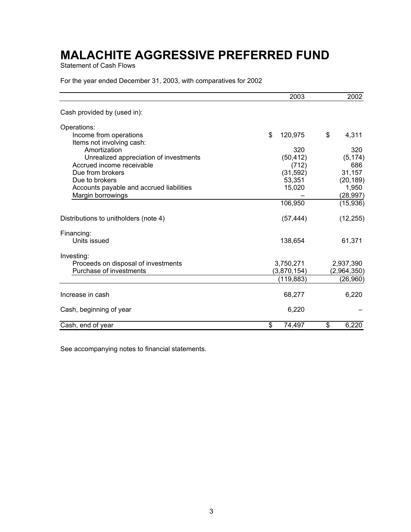Statement of Cash Flows

For the year ended December 31, 2003, with comparatives for 2002

|                                                     | 2003          | 2002        |  |
|-----------------------------------------------------|---------------|-------------|--|
| Cash provided by (used in):                         |               |             |  |
| Operations:                                         |               |             |  |
| Income from operations<br>Items not involving cash: | \$<br>120,975 | \$<br>4,311 |  |
| Amortization                                        | 320           | 320         |  |
| Unrealized appreciation of investments              | (50, 412)     | (5, 174)    |  |
| Accrued income receivable                           | (712)         | 686         |  |
| Due from brokers                                    | (31, 592)     | 31,157      |  |
| Due to brokers                                      | 53,351        | (20, 189)   |  |
| Accounts payable and accrued liabilities            | 15,020        | 1,950       |  |
| Margin borrowings                                   |               | (28, 997)   |  |
|                                                     | 106,950       | (15,936)    |  |
| Distributions to unitholders (note 4)               | (57, 444)     | (12, 255)   |  |
| Financing:                                          |               |             |  |
| Units issued                                        | 138,654       | 61,371      |  |
| Investing:                                          |               |             |  |
| Proceeds on disposal of investments                 | 3,750,271     | 2,937,390   |  |
| Purchase of investments                             | (3,870,154)   | (2,964,350) |  |
|                                                     | (119, 883)    | (26,960)    |  |
| Increase in cash                                    | 68,277        | 6,220       |  |
| Cash, beginning of year                             | 6,220         |             |  |
| Cash, end of year                                   | \$<br>74,497  | \$<br>6,220 |  |

See accompanying notes to financial statements.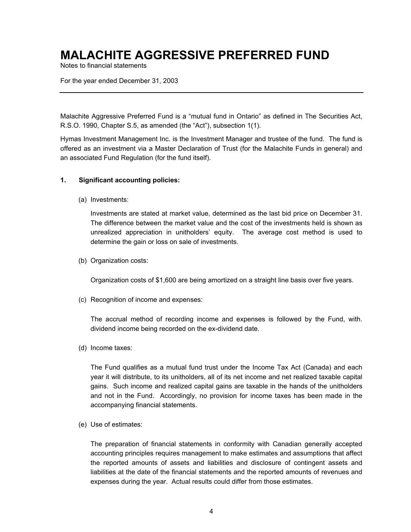Notes to financial statements

For the year ended December 31, 2003

Malachite Aggressive Preferred Fund is a "mutual fund in Ontario" as defined in The Securities Act, R.S.O. 1990, Chapter S.5, as amended (the "Act"), subsection 1(1).

Hymas Investment Management Inc. is the Investment Manager and trustee of the fund. The fund is offered as an investment via a Master Declaration of Trust (for the Malachite Funds in general) and an associated Fund Regulation (for the fund itself).

#### **1. Significant accounting policies:**

(a) Investments:

Investments are stated at market value, determined as the last bid price on December 31. The difference between the market value and the cost of the investments held is shown as unrealized appreciation in unitholders' equity. The average cost method is used to determine the gain or loss on sale of investments.

(b) Organization costs:

Organization costs of \$1,600 are being amortized on a straight line basis over five years.

(c) Recognition of income and expenses:

The accrual method of recording income and expenses is followed by the Fund, with. dividend income being recorded on the ex-dividend date.

(d) Income taxes:

The Fund qualifies as a mutual fund trust under the Income Tax Act (Canada) and each year it will distribute, to its unitholders, all of its net income and net realized taxable capital gains. Such income and realized capital gains are taxable in the hands of the unitholders and not in the Fund. Accordingly, no provision for income taxes has been made in the accompanying financial statements.

(e) Use of estimates:

The preparation of financial statements in conformity with Canadian generally accepted accounting principles requires management to make estimates and assumptions that affect the reported amounts of assets and liabilities and disclosure of contingent assets and liabilities at the date of the financial statements and the reported amounts of revenues and expenses during the year. Actual results could differ from those estimates.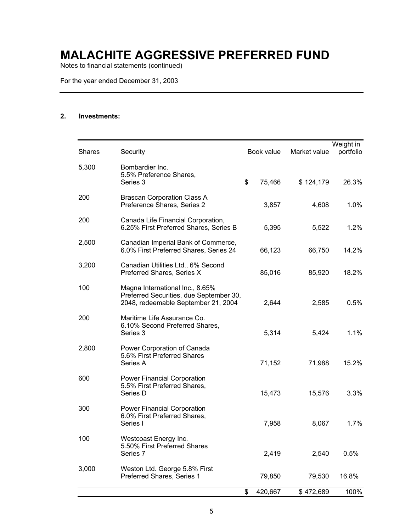Notes to financial statements (continued)

For the year ended December 31, 2003

#### **2. Investments:**

| <b>Shares</b> | Security                                                                                                          | Book value    | Market value | Weight in<br>portfolio |
|---------------|-------------------------------------------------------------------------------------------------------------------|---------------|--------------|------------------------|
| 5,300         | Bombardier Inc.<br>5.5% Preference Shares,<br>Series 3                                                            | \$<br>75,466  | \$124,179    | 26.3%                  |
| 200           | <b>Brascan Corporation Class A</b><br>Preference Shares, Series 2                                                 | 3,857         | 4,608        | 1.0%                   |
| 200           | Canada Life Financial Corporation,<br>6.25% First Preferred Shares, Series B                                      | 5,395         | 5,522        | 1.2%                   |
| 2,500         | Canadian Imperial Bank of Commerce,<br>6.0% First Preferred Shares, Series 24                                     | 66,123        | 66,750       | 14.2%                  |
| 3,200         | Canadian Utilities Ltd., 6% Second<br>Preferred Shares, Series X                                                  | 85,016        | 85,920       | 18.2%                  |
| 100           | Magna International Inc., 8.65%<br>Preferred Securities, due September 30,<br>2048, redeemable September 21, 2004 | 2,644         | 2,585        | 0.5%                   |
| 200           | Maritime Life Assurance Co.<br>6.10% Second Preferred Shares,<br>Series 3                                         | 5,314         | 5,424        | 1.1%                   |
| 2,800         | Power Corporation of Canada<br>5.6% First Preferred Shares<br>Series A                                            | 71,152        | 71,988       | 15.2%                  |
| 600           | Power Financial Corporation<br>5.5% First Preferred Shares,<br>Series D                                           | 15,473        | 15,576       | 3.3%                   |
| 300           | <b>Power Financial Corporation</b><br>6.0% First Preferred Shares,<br>Series I                                    | 7,958         | 8,067        | 1.7%                   |
| 100           | Westcoast Energy Inc.<br>5.50% First Preferred Shares<br>Series 7                                                 | 2,419         | 2,540        | 0.5%                   |
| 3,000         | Weston Ltd. George 5.8% First<br>Preferred Shares, Series 1                                                       | 79,850        | 79,530       | 16.8%                  |
|               |                                                                                                                   | \$<br>420,667 | \$472,689    | 100%                   |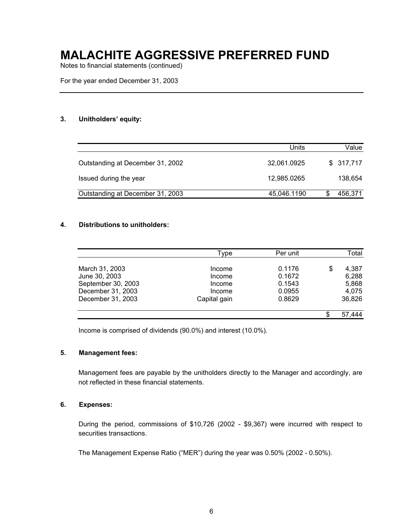Notes to financial statements (continued)

For the year ended December 31, 2003

#### **3. Unitholders' equity:**

|                                  | Units       | Value     |
|----------------------------------|-------------|-----------|
| Outstanding at December 31, 2002 | 32,061.0925 | \$317,717 |
| Issued during the year           | 12,985.0265 | 138,654   |
| Outstanding at December 31, 2003 | 45,046.1190 | 456,371   |

#### **4. Distributions to unitholders:**

|                    | Type         | Per unit | Total       |
|--------------------|--------------|----------|-------------|
| March 31, 2003     | Income       | 0.1176   | \$<br>4,387 |
| June 30, 2003      | Income       | 0.1672   | 6,288       |
| September 30, 2003 | Income       | 0.1543   | 5,868       |
| December 31, 2003  | Income       | 0.0955   | 4,075       |
| December 31, 2003  | Capital gain | 0.8629   | 36,826      |
|                    |              |          | 57,444      |

Income is comprised of dividends (90.0%) and interest (10.0%).

#### **5. Management fees:**

Management fees are payable by the unitholders directly to the Manager and accordingly, are not reflected in these financial statements.

#### **6. Expenses:**

During the period, commissions of \$10,726 (2002 - \$9,367) were incurred with respect to securities transactions.

The Management Expense Ratio ("MER") during the year was 0.50% (2002 - 0.50%).